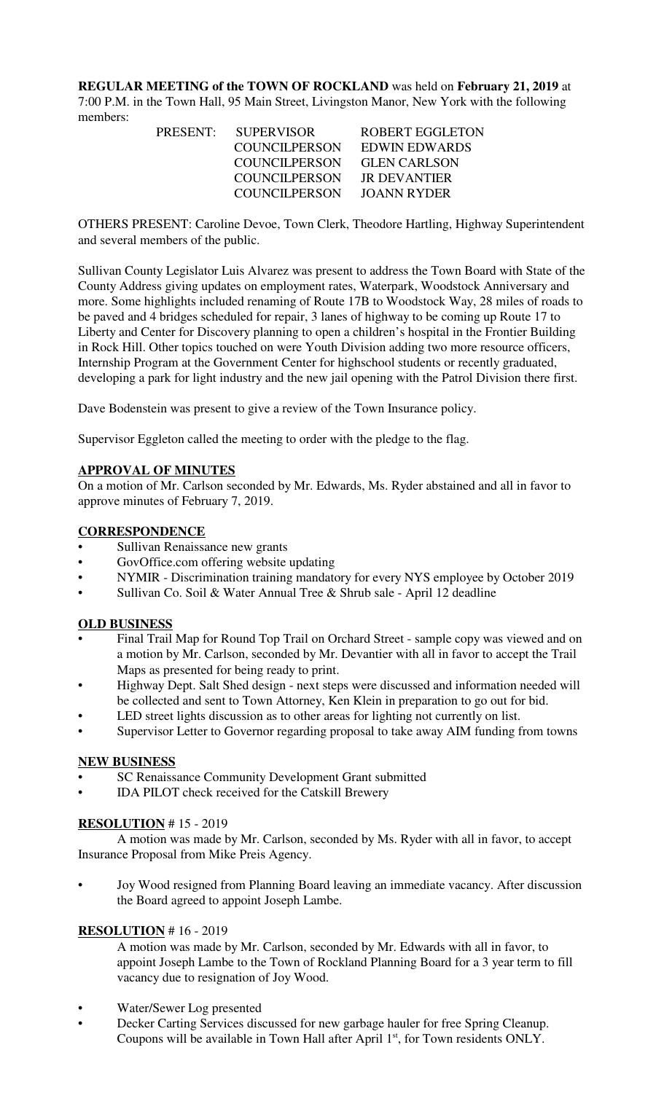**REGULAR MEETING of the TOWN OF ROCKLAND** was held on **February 21, 2019** at 7:00 P.M. in the Town Hall, 95 Main Street, Livingston Manor, New York with the following members:

|  | PRESENT: SUPERVISOR  | <b>ROBERT EGGLETON</b> |
|--|----------------------|------------------------|
|  | COUNCIL PERSON       | EDWIN EDWARDS          |
|  | COUNCILPERSON        | <b>GLEN CARLSON</b>    |
|  | <b>COUNCILPERSON</b> | JR DEVANTIER           |
|  | <b>COUNCILPERSON</b> | JOANN RYDER            |
|  |                      |                        |

OTHERS PRESENT: Caroline Devoe, Town Clerk, Theodore Hartling, Highway Superintendent and several members of the public.

Sullivan County Legislator Luis Alvarez was present to address the Town Board with State of the County Address giving updates on employment rates, Waterpark, Woodstock Anniversary and more. Some highlights included renaming of Route 17B to Woodstock Way, 28 miles of roads to be paved and 4 bridges scheduled for repair, 3 lanes of highway to be coming up Route 17 to Liberty and Center for Discovery planning to open a children's hospital in the Frontier Building in Rock Hill. Other topics touched on were Youth Division adding two more resource officers, Internship Program at the Government Center for highschool students or recently graduated, developing a park for light industry and the new jail opening with the Patrol Division there first.

Dave Bodenstein was present to give a review of the Town Insurance policy.

Supervisor Eggleton called the meeting to order with the pledge to the flag.

## **APPROVAL OF MINUTES**

On a motion of Mr. Carlson seconded by Mr. Edwards, Ms. Ryder abstained and all in favor to approve minutes of February 7, 2019.

## **CORRESPONDENCE**

- Sullivan Renaissance new grants
- GovOffice.com offering website updating
- NYMIR Discrimination training mandatory for every NYS employee by October 2019
- Sullivan Co. Soil & Water Annual Tree & Shrub sale April 12 deadline

### **OLD BUSINESS**

- Final Trail Map for Round Top Trail on Orchard Street sample copy was viewed and on a motion by Mr. Carlson, seconded by Mr. Devantier with all in favor to accept the Trail Maps as presented for being ready to print.
- Highway Dept. Salt Shed design next steps were discussed and information needed will be collected and sent to Town Attorney, Ken Klein in preparation to go out for bid.
- LED street lights discussion as to other areas for lighting not currently on list.
- Supervisor Letter to Governor regarding proposal to take away AIM funding from towns

### **NEW BUSINESS**

- SC Renaissance Community Development Grant submitted
- IDA PILOT check received for the Catskill Brewery

# **RESOLUTION** # 15 - 2019

A motion was made by Mr. Carlson, seconded by Ms. Ryder with all in favor, to accept Insurance Proposal from Mike Preis Agency.

• Joy Wood resigned from Planning Board leaving an immediate vacancy. After discussion the Board agreed to appoint Joseph Lambe.

### **RESOLUTION** # 16 - 2019

A motion was made by Mr. Carlson, seconded by Mr. Edwards with all in favor, to appoint Joseph Lambe to the Town of Rockland Planning Board for a 3 year term to fill vacancy due to resignation of Joy Wood.

- Water/Sewer Log presented
- Decker Carting Services discussed for new garbage hauler for free Spring Cleanup. Coupons will be available in Town Hall after April 1st, for Town residents ONLY.